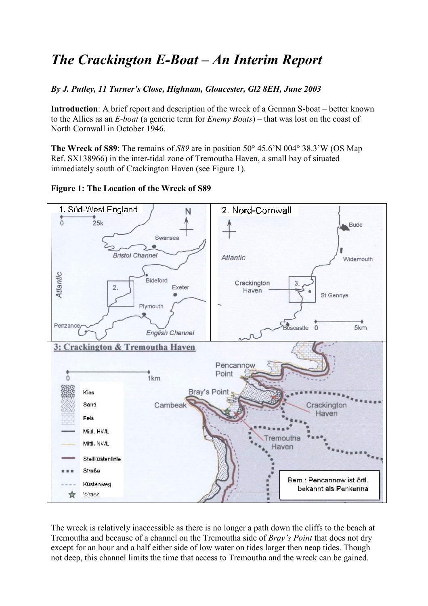# *The Crackington E-Boat – An Interim Report*

# *By J. Putley, 11 Turner's Close, Highnam, Gloucester, Gl2 8EH, June 2003*

**Introduction**: A brief report and description of the wreck of a German S-boat – better known to the Allies as an *E-boat* (a generic term for *Enemy Boats*) – that was lost on the coast of North Cornwall in October 1946.

**The Wreck of S89**: The remains of *S89* are in position 50° 45.6'N 004° 38.3'W (OS Map Ref. SX138966) in the inter-tidal zone of Tremoutha Haven, a small bay of situated immediately south of Crackington Haven (see Figure 1).



**Figure 1: The Location of the Wreck of S89** 

The wreck is relatively inaccessible as there is no longer a path down the cliffs to the beach at Tremoutha and because of a channel on the Tremoutha side of *Bray's Point* that does not dry except for an hour and a half either side of low water on tides larger then neap tides. Though not deep, this channel limits the time that access to Tremoutha and the wreck can be gained.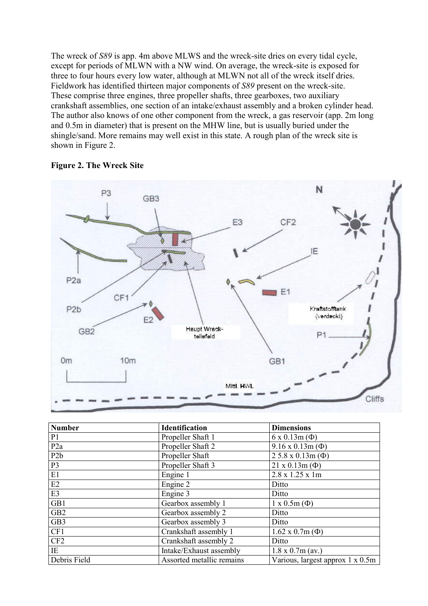The wreck of *S89* is app. 4m above MLWS and the wreck-site dries on every tidal cycle, except for periods of MLWN with a NW wind. On average, the wreck-site is exposed for three to four hours every low water, although at MLWN not all of the wreck itself dries. Fieldwork has identified thirteen major components of *S89* present on the wreck-site. These comprise three engines, three propeller shafts, three gearboxes, two auxiliary crankshaft assemblies, one section of an intake/exhaust assembly and a broken cylinder head. The author also knows of one other component from the wreck, a gas reservoir (app. 2m long and 0.5m in diameter) that is present on the MHW line, but is usually buried under the shingle/sand. More remains may well exist in this state. A rough plan of the wreck site is shown in Figure 2.





| <b>Number</b>    | <b>Identification</b>     | <b>Dimensions</b>                |
|------------------|---------------------------|----------------------------------|
| P1               | Propeller Shaft 1         | $6 \times 0.13$ m $(\Phi)$       |
| P <sub>2a</sub>  | Propeller Shaft 2         | $9.16 \times 0.13$ m $(\Phi)$    |
| P <sub>2</sub> b | Propeller Shaft           | $25.8 \times 0.13$ m ( $\Phi$ )  |
| P <sub>3</sub>   | Propeller Shaft 3         | $21 x 0.13m (\Phi)$              |
| E1               | Engine 1                  | 2.8 x 1.25 x 1m                  |
| E2               | Engine 2                  | Ditto                            |
| E3               | Engine 3                  | Ditto                            |
| GB1              | Gearbox assembly 1        | $1 \times 0.5m$ ( $\Phi$ )       |
| GB <sub>2</sub>  | Gearbox assembly 2        | Ditto                            |
| GB3              | Gearbox assembly 3        | Ditto                            |
| CF1              | Crankshaft assembly 1     | $1.62 \times 0.7m$ ( $\Phi$ )    |
| CF2              | Crankshaft assembly 2     | Ditto                            |
| IE               | Intake/Exhaust assembly   | $1.8 \times 0.7$ m (av.)         |
| Debris Field     | Assorted metallic remains | Various, largest approx 1 x 0.5m |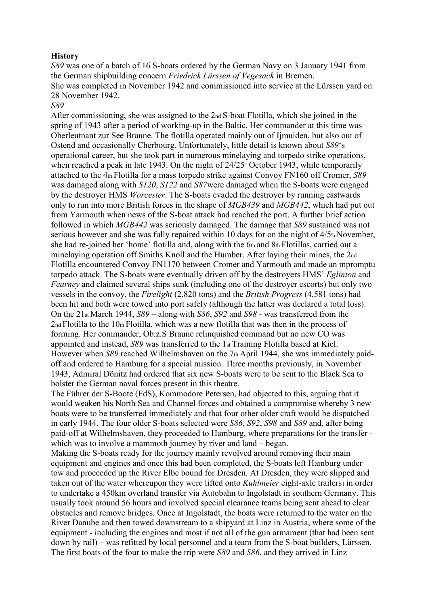#### **History**

*S89* was one of a batch of 16 S-boats ordered by the German Navy on 3 January 1941 from the German shipbuilding concern *Friedrick Lürssen of Vegesack* in Bremen. She was completed in November 1942 and commissioned into service at the Lürssen yard on 28 November 1942.

*S89* 

After commissioning, she was assigned to the 2nd S-boat Flotilla, which she joined in the spring of 1943 after a period of working-up in the Baltic. Her commander at this time was Oberleutnant zur See Braune. The flotilla operated mainly out of Ijmuiden, but also out of Ostend and occasionally Cherbourg. Unfortunately, little detail is known about *S89*'s operational career, but she took part in numerous minelaying and torpedo strike operations, when reached a peak in late 1943. On the night of  $24/25$ <sup>th</sup> October 1943, while temporarily attached to the 4th Flotilla for a mass torpedo strike against Convoy FN160 off Cromer, *S89*  was damaged along with *S120*, *S122* and *S87*were damaged when the S-boats were engaged by the destroyer HMS *Worcester*. The S-boats evaded the destroyer by running eastwards only to run into more British forces in the shape of *MGB439* and *MGB442*, which had put out from Yarmouth when news of the S-boat attack had reached the port. A further brief action followed in which *MGB442* was seriously damaged. The damage that *S89* sustained was not serious however and she was fully repaired within 10 days for on the night of  $4/5$ <sup>h</sup> November, she had re-joined her 'home' flotilla and, along with the 6th and 8th Flotillas, carried out a minelaying operation off Smiths Knoll and the Humber. After laying their mines, the 2nd Flotilla encountered Convoy FN1170 between Cromer and Yarmouth and made an mpromptu torpedo attack. The S-boats were eventually driven off by the destroyers HMS' *Eglinton* and *Fearney* and claimed several ships sunk (including one of the destroyer escorts) but only two vessels in the convoy, the *Firelight* (2,820 tons) and the *British Progress* (4,581 tons) had been hit and both were towed into port safely (although the latter was declared a total loss). On the 21st March 1944, *S89* – along with *S86*, *S92* and *S98* - was transferred from the 2nd Flotilla to the 10th Flotilla, which was a new flotilla that was then in the process of forming. Her commander, Ob.z.S Braune relinquished command but no new CO was appointed and instead, *S89* was transferred to the 1st Training Flotilla based at Kiel. However when *S89* reached Wilhelmshaven on the 7th April 1944, she was immediately paidoff and ordered to Hamburg for a special mission. Three months previously, in November 1943, Admiral Dönitz had ordered that six new S-boats were to be sent to the Black Sea to bolster the German naval forces present in this theatre.

The Führer der S-Boote (FdS), Kommodore Petersen, had objected to this, arguing that it would weaken his North Sea and Channel forces and obtained a compromise whereby 3 new boats were to be transferred immediately and that four other older craft would be dispatched in early 1944. The four older S-boats selected were *S86*, *S92*, *S98* and *S89* and, after being paid-off at Wilhelmshaven, they proceeded to Hamburg, where preparations for the transfer which was to involve a mammoth journey by river and land – began.

Making the S-boats ready for the journey mainly revolved around removing their main equipment and engines and once this had been completed, the S-boats left Hamburg under tow and proceeded up the River Elbe bound for Dresden. At Dresden, they were slipped and taken out of the water whereupon they were lifted onto *Kuhlmeier* eight-axle trailers<sup>1</sup> in order to undertake a 450km overland transfer via Autobahn to Ingolstadt in southern Germany. This usually took around 56 hours and involved special clearance teams being sent ahead to clear obstacles and remove bridges. Once at Ingolstadt, the boats were returned to the water on the River Danube and then towed downstream to a shipyard at Linz in Austria, where some of the equipment - including the engines and most if not all of the gun armament (that had been sent down by rail) – was refitted by local personnel and a team from the S-boat builders, Lürssen. The first boats of the four to make the trip were *S89* and *S86*, and they arrived in Linz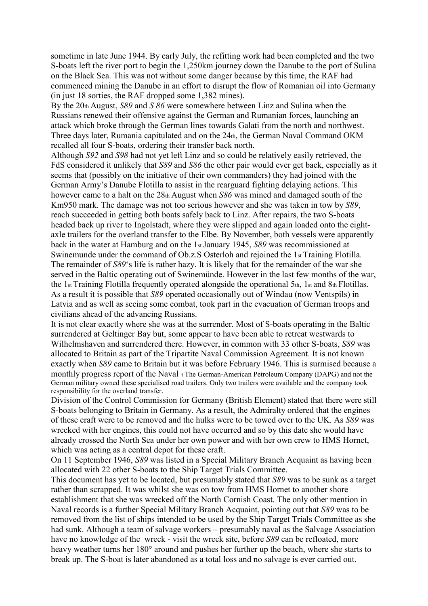sometime in late June 1944. By early July, the refitting work had been completed and the two S-boats left the river port to begin the 1,250km journey down the Danube to the port of Sulina on the Black Sea. This was not without some danger because by this time, the RAF had commenced mining the Danube in an effort to disrupt the flow of Romanian oil into Germany (in just 18 sorties, the RAF dropped some 1,382 mines).

By the 20th August, *S89* and *S 86* were somewhere between Linz and Sulina when the Russians renewed their offensive against the German and Rumanian forces, launching an attack which broke through the German lines towards Galati from the north and northwest. Three days later, Rumania capitulated and on the 24th, the German Naval Command OKM recalled all four S-boats, ordering their transfer back north.

Although *S92* and *S98* had not yet left Linz and so could be relatively easily retrieved, the FdS considered it unlikely that *S89* and *S86* the other pair would ever get back, especially as it seems that (possibly on the initiative of their own commanders) they had joined with the German Army's Danube Flotilla to assist in the rearguard fighting delaying actions. This however came to a halt on the 28th August when *S86* was mined and damaged south of the Km950 mark. The damage was not too serious however and she was taken in tow by *S89*, reach succeeded in getting both boats safely back to Linz. After repairs, the two S-boats headed back up river to Ingolstadt, where they were slipped and again loaded onto the eightaxle trailers for the overland transfer to the Elbe. By November, both vessels were apparently back in the water at Hamburg and on the 1st January 1945, *S89* was recommissioned at Swinemunde under the command of Ob.z.S Osterloh and rejoined the 1st Training Flotilla. The remainder of *S89*'s life is rather hazy. It is likely that for the remainder of the war she served in the Baltic operating out of Swinemünde. However in the last few months of the war, the 1st Training Flotilla frequently operated alongside the operational 5th, 1st and 8th Flotillas. As a result it is possible that *S89* operated occasionally out of Windau (now Ventspils) in Latvia and as well as seeing some combat, took part in the evacuation of German troops and civilians ahead of the advancing Russians.

It is not clear exactly where she was at the surrender. Most of S-boats operating in the Baltic surrendered at Geltinger Bay but, some appear to have been able to retreat westwards to Wilhelmshaven and surrendered there. However, in common with 33 other S-boats, *S89* was allocated to Britain as part of the Tripartite Naval Commission Agreement. It is not known exactly when *S89* came to Britain but it was before February 1946. This is surmised because a monthly progress report of the Naval 1 The German-American Petroleum Company (DAPG) and not the German military owned these specialised road trailers. Only two trailers were available and the company took responsibility for the overland transfer.

Division of the Control Commission for Germany (British Element) stated that there were still S-boats belonging to Britain in Germany. As a result, the Admiralty ordered that the engines of these craft were to be removed and the hulks were to be towed over to the UK. As *S89* was wrecked with her engines, this could not have occurred and so by this date she would have already crossed the North Sea under her own power and with her own crew to HMS Hornet, which was acting as a central depot for these craft.

On 11 September 1946, *S89* was listed in a Special Military Branch Acquaint as having been allocated with 22 other S-boats to the Ship Target Trials Committee.

This document has yet to be located, but presumably stated that *S89* was to be sunk as a target rather than scrapped. It was whilst she was on tow from HMS Hornet to another shore establishment that she was wrecked off the North Cornish Coast. The only other mention in Naval records is a further Special Military Branch Acquaint, pointing out that *S89* was to be removed from the list of ships intended to be used by the Ship Target Trials Committee as she had sunk. Although a team of salvage workers – presumably naval as the Salvage Association have no knowledge of the wreck - visit the wreck site, before *S89* can be refloated, more heavy weather turns her 180° around and pushes her further up the beach, where she starts to break up. The S-boat is later abandoned as a total loss and no salvage is ever carried out.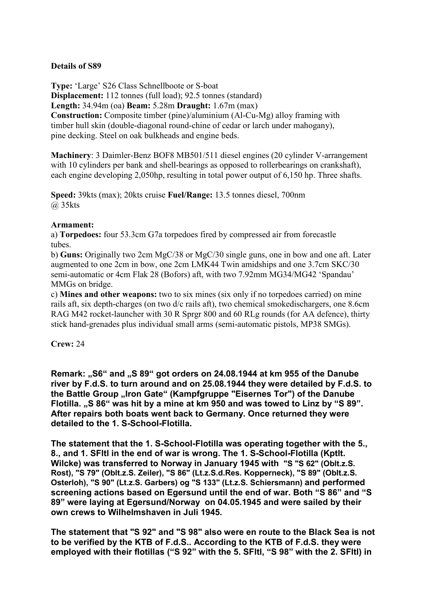## **Details of S89**

**Type:** 'Large' S26 Class Schnellboote or S-boat **Displacement:** 112 tonnes (full load); 92.5 tonnes (standard) **Length:** 34.94m (oa) **Beam:** 5.28m **Draught:** 1.67m (max) **Construction:** Composite timber (pine)/aluminium (Al-Cu-Mg) alloy framing with timber hull skin (double-diagonal round-chine of cedar or larch under mahogany), pine decking. Steel on oak bulkheads and engine beds.

**Machinery**: 3 Daimler-Benz BOF8 MB501/511 diesel engines (20 cylinder V-arrangement with 10 cylinders per bank and shell-bearings as opposed to rollerbearings on crankshaft), each engine developing 2,050hp, resulting in total power output of 6,150 hp. Three shafts.

**Speed:** 39kts (max); 20kts cruise **Fuel/Range:** 13.5 tonnes diesel, 700nm @ 35kts

### **Armament:**

a) **Torpedoes:** four 53.3cm G7a torpedoes fired by compressed air from forecastle tubes.

b) **Guns:** Originally two 2cm MgC/38 or MgC/30 single guns, one in bow and one aft. Later augmented to one 2cm in bow, one 2cm LMK44 Twin amidships and one 3.7cm SKC/30 semi-automatic or 4cm Flak 28 (Bofors) aft, with two 7.92mm MG34/MG42 'Spandau' MMGs on bridge.

c) **Mines and other weapons:** two to six mines (six only if no torpedoes carried) on mine rails aft, six depth-charges (on two d/c rails aft), two chemical smokedischargers, one 8.6cm RAG M42 rocket-launcher with 30 R Sprgr 800 and 60 RLg rounds (for AA defence), thirty stick hand-grenades plus individual small arms (semi-automatic pistols, MP38 SMGs).

**Crew:** 24

**Remark: "S6" and "S 89" got orders on 24.08.1944 at km 955 of the Danube river by F.d.S. to turn around and on 25.08.1944 they were detailed by F.d.S. to**  the Battle Group "Iron Gate" (Kampfgruppe "Eisernes Tor") of the Danube **Flotilla. "S 86" was hit by a mine at km 950 and was towed to Linz by "S 89". After repairs both boats went back to Germany. Once returned they were detailed to the 1. S-School-Flotilla.** 

**The statement that the 1. S-School-Flotilla was operating together with the 5., 8., and 1. SFltl in the end of war is wrong. The 1. S-School-Flotilla (Kptlt. Wilcke) was transferred to Norway in January 1945 with "S "S 62" (Oblt.z.S. Rost), "S 79" (Oblt.z.S. Zeiler), "S 86" (Lt.z.S.d.Res. Kopperneck), "S 89" (Oblt.z.S. Osterloh), "S 90" (Lt.z.S. Garbers) og "S 133" (Lt.z.S. Schiersmann) and performed screening actions based on Egersund until the end of war. Both "S 86" and "S 89" were laying at Egersund/Norway on 04.05.1945 and were sailed by their own crews to Wilhelmshaven in Juli 1945.** 

**The statement that "S 92" and "S 98" also were en route to the Black Sea is not to be verified by the KTB of F.d.S.. According to the KTB of F.d.S. they were employed with their flotillas ("S 92" with the 5. SFltl, "S 98" with the 2. SFltl) in**